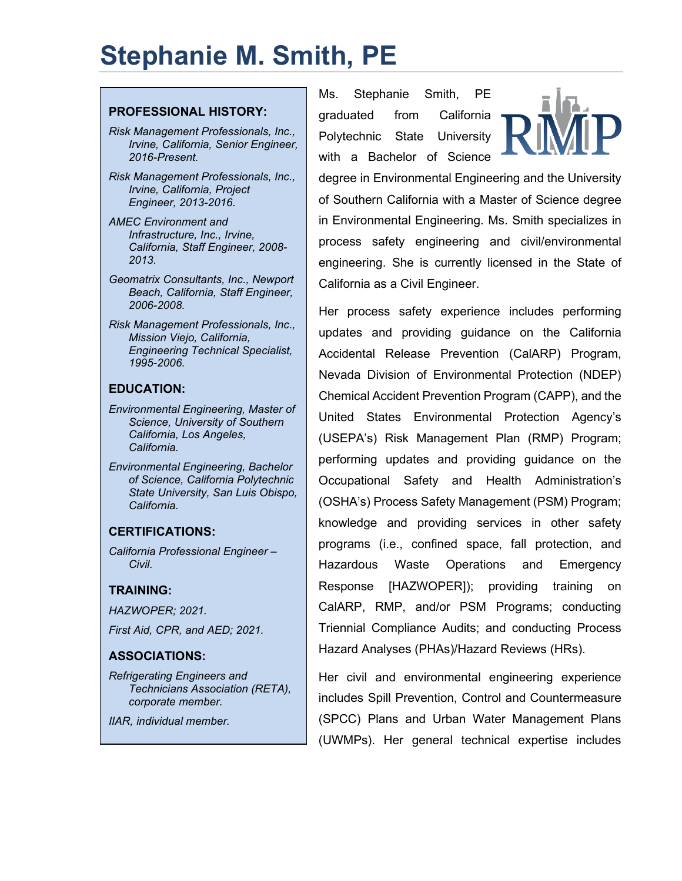# **Stephanie M. Smith, PE**

#### **PROFESSIONAL HISTORY:**

- *Risk Management Professionals, Inc., Irvine, California, Senior Engineer, 2016-Present.*
- *Risk Management Professionals, Inc., Irvine, California, Project Engineer, 2013-2016.*
- *AMEC Environment and Infrastructure, Inc., Irvine, California, Staff Engineer, 2008- 2013.*
- *Geomatrix Consultants, Inc., Newport Beach, California, Staff Engineer, 2006-2008.*
- *Risk Management Professionals, Inc., Mission Viejo, California, Engineering Technical Specialist, 1995-2006.*

#### **EDUCATION:**

- *Environmental Engineering, Master of Science, University of Southern California, Los Angeles, California.*
- *Environmental Engineering, Bachelor of Science, California Polytechnic State University, San Luis Obispo, California.*

#### **CERTIFICATIONS:**

*California Professional Engineer – Civil.*

#### **TRAINING:**

*HAZWOPER; 2021.*

*First Aid, CPR, and AED; 2021.*

#### **ASSOCIATIONS:**

*Refrigerating Engineers and Technicians Association (RETA), corporate member.*

*IIAR, individual member.*

Ms. Stephanie Smith, PE graduated from California Polytechnic State University with a Bachelor of Science



degree in Environmental Engineering and the University of Southern California with a Master of Science degree in Environmental Engineering. Ms. Smith specializes in process safety engineering and civil/environmental engineering. She is currently licensed in the State of California as a Civil Engineer.

Her process safety experience includes performing updates and providing guidance on the California Accidental Release Prevention (CalARP) Program, Nevada Division of Environmental Protection (NDEP) Chemical Accident Prevention Program (CAPP), and the United States Environmental Protection Agency's (USEPA's) Risk Management Plan (RMP) Program; performing updates and providing guidance on the Occupational Safety and Health Administration's (OSHA's) Process Safety Management (PSM) Program; knowledge and providing services in other safety programs (i.e., confined space, fall protection, and Hazardous Waste Operations and Emergency Response [HAZWOPER]); providing training on CalARP, RMP, and/or PSM Programs; conducting Triennial Compliance Audits; and conducting Process Hazard Analyses (PHAs)/Hazard Reviews (HRs).

Her civil and environmental engineering experience includes Spill Prevention, Control and Countermeasure (SPCC) Plans and Urban Water Management Plans (UWMPs). Her general technical expertise includes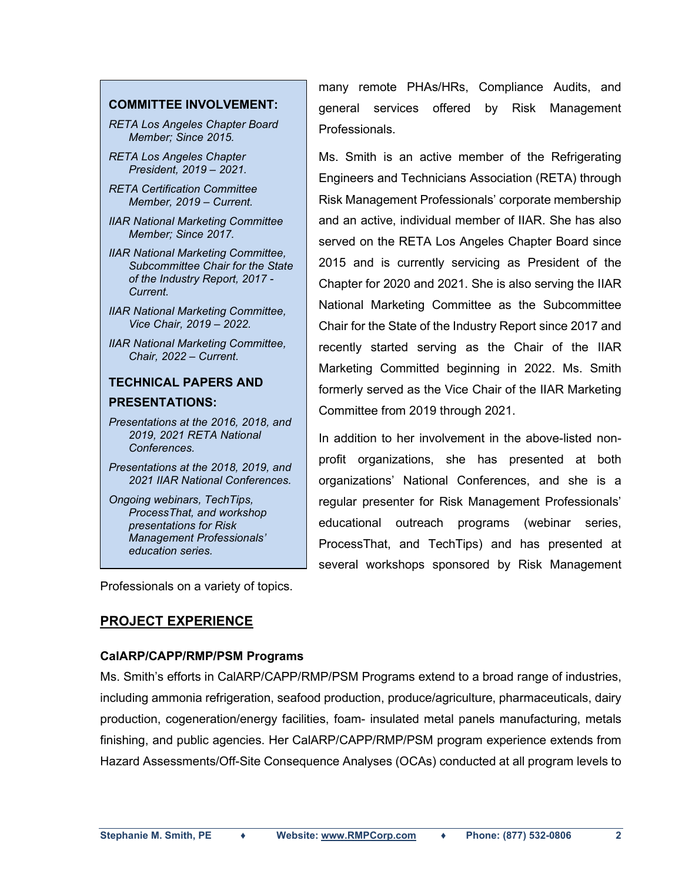#### **COMMITTEE INVOLVEMENT:**

*RETA Los Angeles Chapter Board Member; Since 2015.*

- *RETA Los Angeles Chapter President, 2019 – 2021.*
- *RETA Certification Committee Member, 2019 – Current.*
- *IIAR National Marketing Committee Member; Since 2017.*
- *IIAR National Marketing Committee, Subcommittee Chair for the State of the Industry Report, 2017 - Current.*
- *IIAR National Marketing Committee, Vice Chair, 2019 – 2022.*
- *IIAR National Marketing Committee, Chair, 2022 – Current.*

## **TECHNICAL PAPERS AND PRESENTATIONS:**

*Presentations at the 2016, 2018, and 2019, 2021 RETA National Conferences.*

*Presentations at the 2018, 2019, and 2021 IIAR National Conferences.*

*Ongoing webinars, TechTips, ProcessThat, and workshop presentations for Risk Management Professionals' education series.*

Professionals on a variety of topics.

#### **PROJECT EXPERIENCE**

#### **CalARP/CAPP/RMP/PSM Programs**

Ms. Smith's efforts in CalARP/CAPP/RMP/PSM Programs extend to a broad range of industries, including ammonia refrigeration, seafood production, produce/agriculture, pharmaceuticals, dairy production, cogeneration/energy facilities, foam- insulated metal panels manufacturing, metals finishing, and public agencies. Her CalARP/CAPP/RMP/PSM program experience extends from Hazard Assessments/Off-Site Consequence Analyses (OCAs) conducted at all program levels to

many remote PHAs/HRs, Compliance Audits, and general services offered by Risk Management Professionals.

Ms. Smith is an active member of the Refrigerating Engineers and Technicians Association (RETA) through Risk Management Professionals' corporate membership and an active, individual member of IIAR. She has also served on the RETA Los Angeles Chapter Board since 2015 and is currently servicing as President of the Chapter for 2020 and 2021. She is also serving the IIAR National Marketing Committee as the Subcommittee Chair for the State of the Industry Report since 2017 and recently started serving as the Chair of the IIAR Marketing Committed beginning in 2022. Ms. Smith formerly served as the Vice Chair of the IIAR Marketing Committee from 2019 through 2021.

In addition to her involvement in the above-listed nonprofit organizations, she has presented at both organizations' National Conferences, and she is a regular presenter for Risk Management Professionals' educational outreach programs (webinar series, ProcessThat, and TechTips) and has presented at several workshops sponsored by Risk Management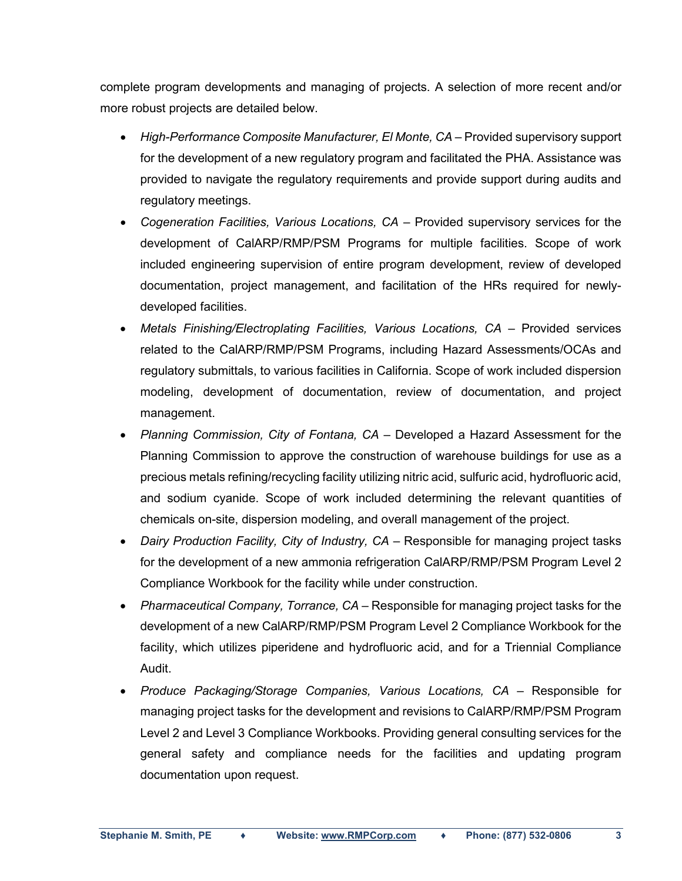complete program developments and managing of projects. A selection of more recent and/or more robust projects are detailed below.

- *High-Performance Composite Manufacturer, El Monte, CA* Provided supervisory support for the development of a new regulatory program and facilitated the PHA. Assistance was provided to navigate the regulatory requirements and provide support during audits and regulatory meetings.
- *Cogeneration Facilities, Various Locations, CA* Provided supervisory services for the development of CalARP/RMP/PSM Programs for multiple facilities. Scope of work included engineering supervision of entire program development, review of developed documentation, project management, and facilitation of the HRs required for newlydeveloped facilities.
- *Metals Finishing/Electroplating Facilities, Various Locations, CA* Provided services related to the CalARP/RMP/PSM Programs, including Hazard Assessments/OCAs and regulatory submittals, to various facilities in California. Scope of work included dispersion modeling, development of documentation, review of documentation, and project management.
- *Planning Commission, City of Fontana, CA* Developed a Hazard Assessment for the Planning Commission to approve the construction of warehouse buildings for use as a precious metals refining/recycling facility utilizing nitric acid, sulfuric acid, hydrofluoric acid, and sodium cyanide. Scope of work included determining the relevant quantities of chemicals on-site, dispersion modeling, and overall management of the project.
- *Dairy Production Facility, City of Industry, CA* Responsible for managing project tasks for the development of a new ammonia refrigeration CalARP/RMP/PSM Program Level 2 Compliance Workbook for the facility while under construction.
- *Pharmaceutical Company, Torrance, CA*  Responsible for managing project tasks for the development of a new CalARP/RMP/PSM Program Level 2 Compliance Workbook for the facility, which utilizes piperidene and hydrofluoric acid, and for a Triennial Compliance Audit.
- *Produce Packaging/Storage Companies, Various Locations, CA*  Responsible for managing project tasks for the development and revisions to CalARP/RMP/PSM Program Level 2 and Level 3 Compliance Workbooks. Providing general consulting services for the general safety and compliance needs for the facilities and updating program documentation upon request.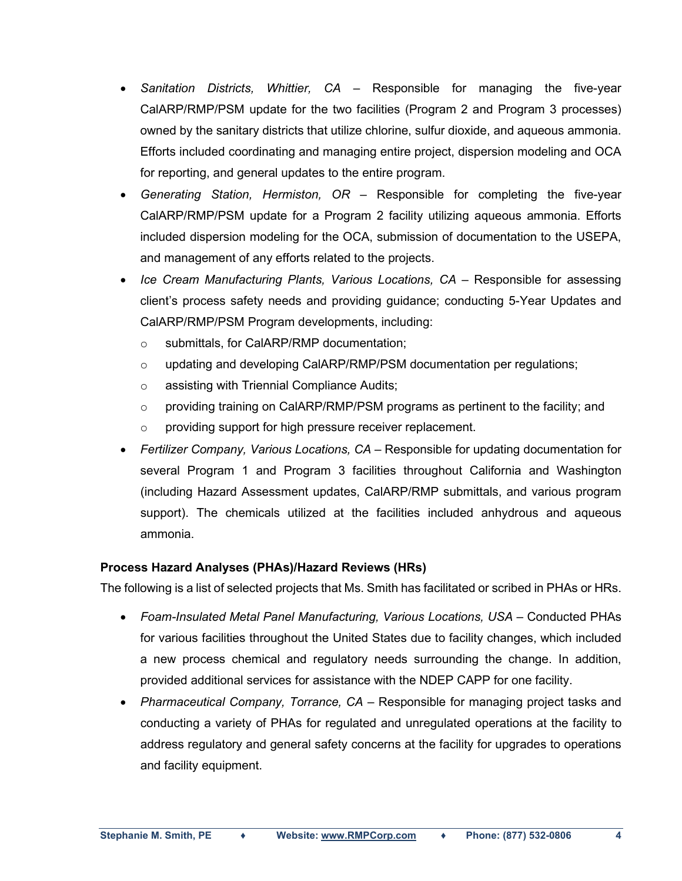- *Sanitation Districts, Whittier, CA* Responsible for managing the five-year CalARP/RMP/PSM update for the two facilities (Program 2 and Program 3 processes) owned by the sanitary districts that utilize chlorine, sulfur dioxide, and aqueous ammonia. Efforts included coordinating and managing entire project, dispersion modeling and OCA for reporting, and general updates to the entire program.
- *Generating Station, Hermiston, OR* Responsible for completing the five-year CalARP/RMP/PSM update for a Program 2 facility utilizing aqueous ammonia. Efforts included dispersion modeling for the OCA, submission of documentation to the USEPA, and management of any efforts related to the projects.
- *Ice Cream Manufacturing Plants, Various Locations, CA* Responsible for assessing client's process safety needs and providing guidance; conducting 5-Year Updates and CalARP/RMP/PSM Program developments, including:
	- o submittals, for CalARP/RMP documentation;
	- $\circ$  updating and developing CalARP/RMP/PSM documentation per regulations;
	- o assisting with Triennial Compliance Audits;
	- $\circ$  providing training on CalARP/RMP/PSM programs as pertinent to the facility; and
	- o providing support for high pressure receiver replacement.
- *Fertilizer Company, Various Locations, CA* Responsible for updating documentation for several Program 1 and Program 3 facilities throughout California and Washington (including Hazard Assessment updates, CalARP/RMP submittals, and various program support). The chemicals utilized at the facilities included anhydrous and aqueous ammonia.

# **Process Hazard Analyses (PHAs)/Hazard Reviews (HRs)**

The following is a list of selected projects that Ms. Smith has facilitated or scribed in PHAs or HRs.

- *Foam-Insulated Metal Panel Manufacturing, Various Locations, USA* Conducted PHAs for various facilities throughout the United States due to facility changes, which included a new process chemical and regulatory needs surrounding the change. In addition, provided additional services for assistance with the NDEP CAPP for one facility.
- *Pharmaceutical Company, Torrance, CA*  Responsible for managing project tasks and conducting a variety of PHAs for regulated and unregulated operations at the facility to address regulatory and general safety concerns at the facility for upgrades to operations and facility equipment.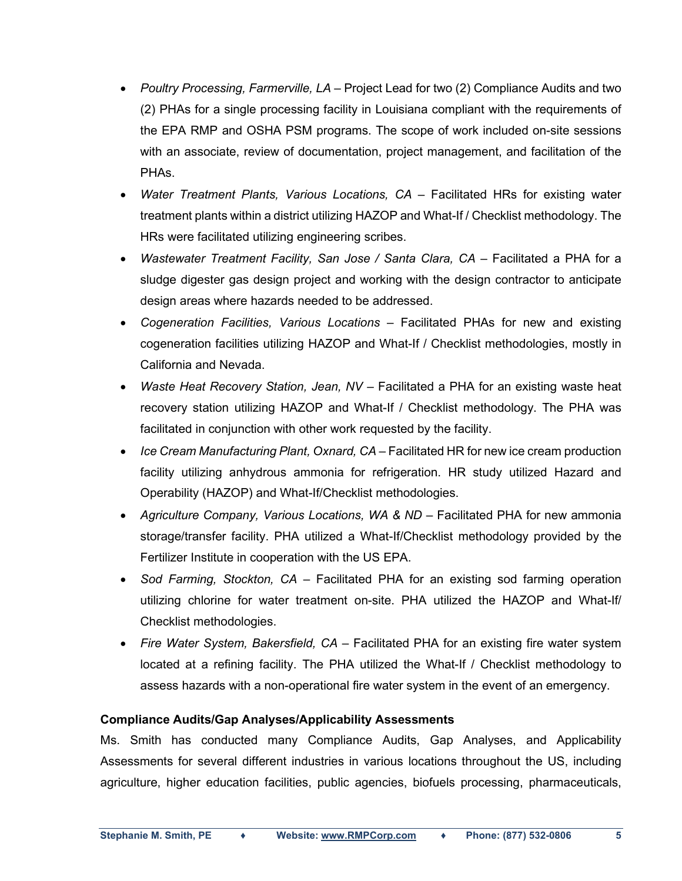- *Poultry Processing, Farmerville, LA* Project Lead for two (2) Compliance Audits and two (2) PHAs for a single processing facility in Louisiana compliant with the requirements of the EPA RMP and OSHA PSM programs. The scope of work included on-site sessions with an associate, review of documentation, project management, and facilitation of the PHAs.
- *Water Treatment Plants, Various Locations, CA Facilitated HRs for existing water* treatment plants within a district utilizing HAZOP and What-If / Checklist methodology. The HRs were facilitated utilizing engineering scribes.
- *Wastewater Treatment Facility, San Jose / Santa Clara, CA Facilitated a PHA for a* sludge digester gas design project and working with the design contractor to anticipate design areas where hazards needed to be addressed.
- *Cogeneration Facilities, Various Locations* Facilitated PHAs for new and existing cogeneration facilities utilizing HAZOP and What-If / Checklist methodologies, mostly in California and Nevada.
- *Waste Heat Recovery Station, Jean, NV*  Facilitated a PHA for an existing waste heat recovery station utilizing HAZOP and What-If / Checklist methodology. The PHA was facilitated in conjunction with other work requested by the facility.
- *Ice Cream Manufacturing Plant, Oxnard, CA* Facilitated HR for new ice cream production facility utilizing anhydrous ammonia for refrigeration. HR study utilized Hazard and Operability (HAZOP) and What-If/Checklist methodologies.
- *Agriculture Company, Various Locations, WA & ND* Facilitated PHA for new ammonia storage/transfer facility. PHA utilized a What-If/Checklist methodology provided by the Fertilizer Institute in cooperation with the US EPA.
- *Sod Farming, Stockton, CA*  Facilitated PHA for an existing sod farming operation utilizing chlorine for water treatment on-site. PHA utilized the HAZOP and What-If/ Checklist methodologies.
- *Fire Water System, Bakersfield, CA*  Facilitated PHA for an existing fire water system located at a refining facility. The PHA utilized the What-If / Checklist methodology to assess hazards with a non-operational fire water system in the event of an emergency.

# **Compliance Audits/Gap Analyses/Applicability Assessments**

Ms. Smith has conducted many Compliance Audits, Gap Analyses, and Applicability Assessments for several different industries in various locations throughout the US, including agriculture, higher education facilities, public agencies, biofuels processing, pharmaceuticals,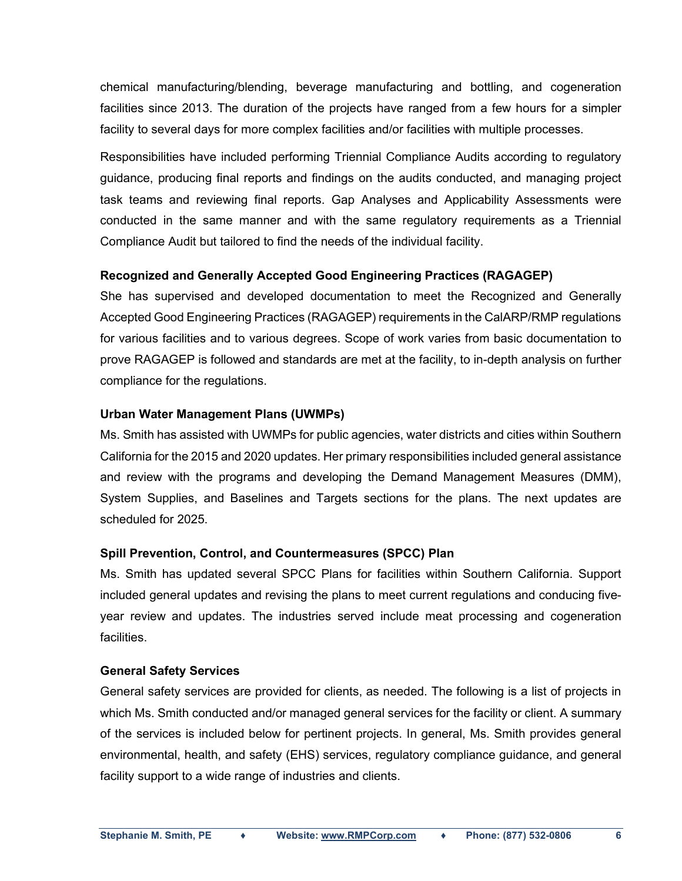chemical manufacturing/blending, beverage manufacturing and bottling, and cogeneration facilities since 2013. The duration of the projects have ranged from a few hours for a simpler facility to several days for more complex facilities and/or facilities with multiple processes.

Responsibilities have included performing Triennial Compliance Audits according to regulatory guidance, producing final reports and findings on the audits conducted, and managing project task teams and reviewing final reports. Gap Analyses and Applicability Assessments were conducted in the same manner and with the same regulatory requirements as a Triennial Compliance Audit but tailored to find the needs of the individual facility.

## **Recognized and Generally Accepted Good Engineering Practices (RAGAGEP)**

She has supervised and developed documentation to meet the Recognized and Generally Accepted Good Engineering Practices (RAGAGEP) requirements in the CalARP/RMP regulations for various facilities and to various degrees. Scope of work varies from basic documentation to prove RAGAGEP is followed and standards are met at the facility, to in-depth analysis on further compliance for the regulations.

## **Urban Water Management Plans (UWMPs)**

Ms. Smith has assisted with UWMPs for public agencies, water districts and cities within Southern California for the 2015 and 2020 updates. Her primary responsibilities included general assistance and review with the programs and developing the Demand Management Measures (DMM), System Supplies, and Baselines and Targets sections for the plans. The next updates are scheduled for 2025.

#### **Spill Prevention, Control, and Countermeasures (SPCC) Plan**

Ms. Smith has updated several SPCC Plans for facilities within Southern California. Support included general updates and revising the plans to meet current regulations and conducing fiveyear review and updates. The industries served include meat processing and cogeneration facilities.

#### **General Safety Services**

General safety services are provided for clients, as needed. The following is a list of projects in which Ms. Smith conducted and/or managed general services for the facility or client. A summary of the services is included below for pertinent projects. In general, Ms. Smith provides general environmental, health, and safety (EHS) services, regulatory compliance guidance, and general facility support to a wide range of industries and clients.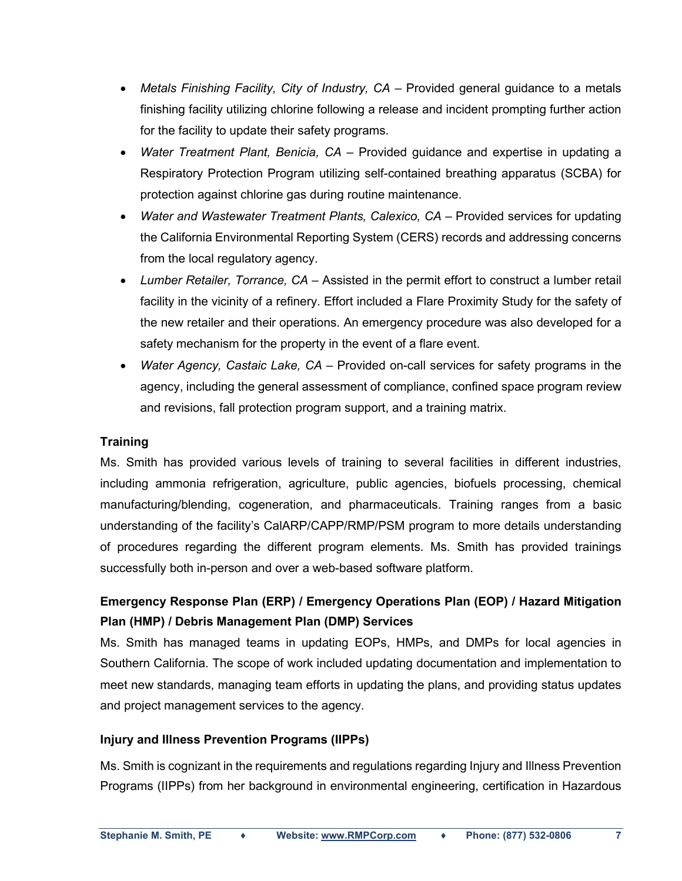- *Metals Finishing Facility, City of Industry, CA* Provided general guidance to a metals finishing facility utilizing chlorine following a release and incident prompting further action for the facility to update their safety programs.
- *Water Treatment Plant, Benicia, CA* Provided guidance and expertise in updating a Respiratory Protection Program utilizing self-contained breathing apparatus (SCBA) for protection against chlorine gas during routine maintenance.
- *Water and Wastewater Treatment Plants, Calexico, CA* Provided services for updating the California Environmental Reporting System (CERS) records and addressing concerns from the local regulatory agency.
- *Lumber Retailer, Torrance, CA* Assisted in the permit effort to construct a lumber retail facility in the vicinity of a refinery. Effort included a Flare Proximity Study for the safety of the new retailer and their operations. An emergency procedure was also developed for a safety mechanism for the property in the event of a flare event.
- *Water Agency, Castaic Lake, CA*  Provided on-call services for safety programs in the agency, including the general assessment of compliance, confined space program review and revisions, fall protection program support, and a training matrix.

# **Training**

Ms. Smith has provided various levels of training to several facilities in different industries, including ammonia refrigeration, agriculture, public agencies, biofuels processing, chemical manufacturing/blending, cogeneration, and pharmaceuticals. Training ranges from a basic understanding of the facility's CalARP/CAPP/RMP/PSM program to more details understanding of procedures regarding the different program elements. Ms. Smith has provided trainings successfully both in-person and over a web-based software platform.

# **Emergency Response Plan (ERP) / Emergency Operations Plan (EOP) / Hazard Mitigation Plan (HMP) / Debris Management Plan (DMP) Services**

Ms. Smith has managed teams in updating EOPs, HMPs, and DMPs for local agencies in Southern California. The scope of work included updating documentation and implementation to meet new standards, managing team efforts in updating the plans, and providing status updates and project management services to the agency.

# **Injury and Illness Prevention Programs (IIPPs)**

Ms. Smith is cognizant in the requirements and regulations regarding Injury and Illness Prevention Programs (IIPPs) from her background in environmental engineering, certification in Hazardous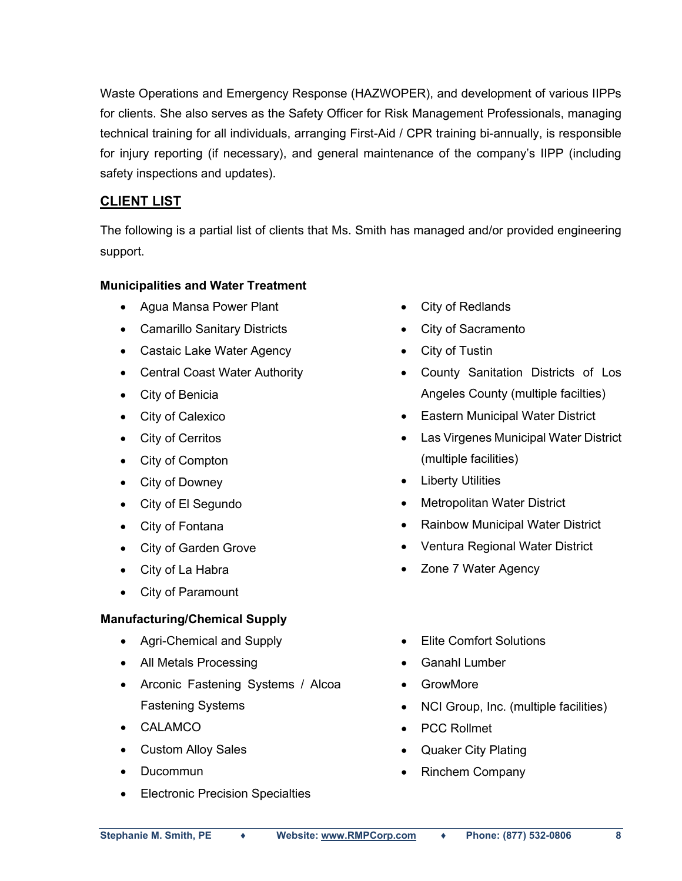Waste Operations and Emergency Response (HAZWOPER), and development of various IIPPs for clients. She also serves as the Safety Officer for Risk Management Professionals, managing technical training for all individuals, arranging First-Aid / CPR training bi-annually, is responsible for injury reporting (if necessary), and general maintenance of the company's IIPP (including safety inspections and updates).

# **CLIENT LIST**

The following is a partial list of clients that Ms. Smith has managed and/or provided engineering support.

# **Municipalities and Water Treatment**

- Agua Mansa Power Plant
- Camarillo Sanitary Districts
- Castaic Lake Water Agency
- Central Coast Water Authority
- City of Benicia
- City of Calexico
- City of Cerritos
- City of Compton
- City of Downey
- City of El Segundo
- City of Fontana
- City of Garden Grove
- City of La Habra
- City of Paramount

# **Manufacturing/Chemical Supply**

- Agri-Chemical and Supply
- All Metals Processing
- Arconic Fastening Systems / Alcoa Fastening Systems
- CALAMCO
- Custom Alloy Sales
- Ducommun
- Electronic Precision Specialties
- City of Redlands
- City of Sacramento
- City of Tustin
- County Sanitation Districts of Los Angeles County (multiple facilties)
- Eastern Municipal Water District
- Las Virgenes Municipal Water District (multiple facilities)
- Liberty Utilities
- Metropolitan Water District
- Rainbow Municipal Water District
- Ventura Regional Water District
- Zone 7 Water Agency
- Elite Comfort Solutions
- Ganahl Lumber
- GrowMore
- NCI Group, Inc. (multiple facilities)
- PCC Rollmet
- Quaker City Plating
- Rinchem Company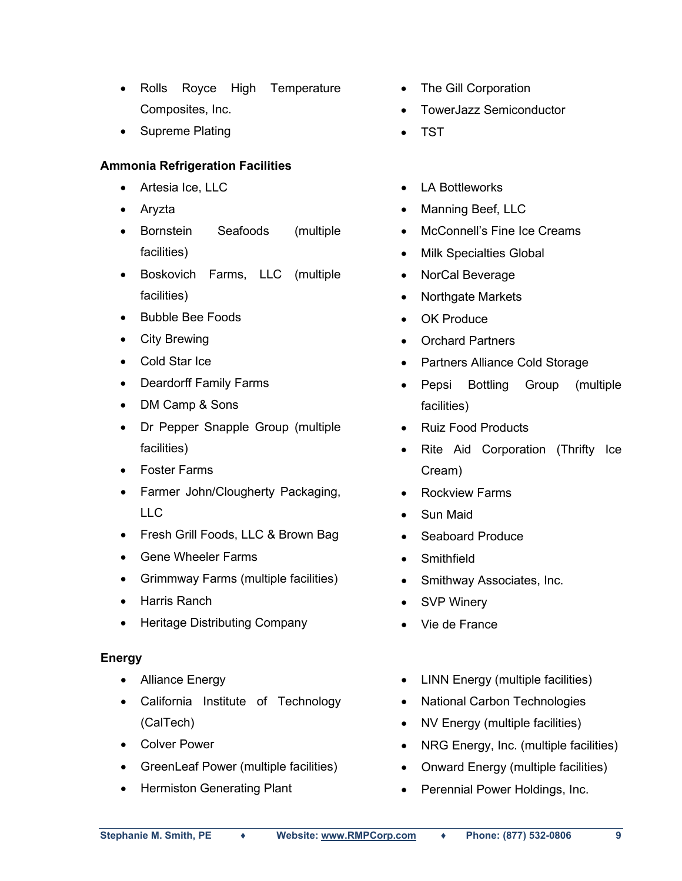- Rolls Royce High Temperature Composites, Inc.
- Supreme Plating

# **Ammonia Refrigeration Facilities**

- Artesia Ice, LLC
- Aryzta
- Bornstein Seafoods (multiple facilities)
- Boskovich Farms, LLC (multiple facilities)
- Bubble Bee Foods
- City Brewing
- Cold Star Ice
- Deardorff Family Farms
- DM Camp & Sons
- Dr Pepper Snapple Group (multiple facilities)
- Foster Farms
- Farmer John/Clougherty Packaging, LLC
- Fresh Grill Foods, LLC & Brown Bag
- Gene Wheeler Farms
- Grimmway Farms (multiple facilities)
- Harris Ranch
- Heritage Distributing Company

#### **Energy**

- Alliance Energy
- California Institute of Technology (CalTech)
- Colver Power
- GreenLeaf Power (multiple facilities)
- Hermiston Generating Plant
- The Gill Corporation
- TowerJazz Semiconductor
- TST
- LA Bottleworks
- Manning Beef, LLC
- McConnell's Fine Ice Creams
- Milk Specialties Global
- NorCal Beverage
- Northgate Markets
- **OK Produce**
- Orchard Partners
- Partners Alliance Cold Storage
- Pepsi Bottling Group (multiple facilities)
- Ruiz Food Products
- Rite Aid Corporation (Thrifty Ice Cream)
- Rockview Farms
- Sun Maid
- Seaboard Produce
- Smithfield
- Smithway Associates, Inc.
- **SVP Winery**
- Vie de France
- LINN Energy (multiple facilities)
- National Carbon Technologies
- NV Energy (multiple facilities)
- NRG Energy, Inc. (multiple facilities)
- Onward Energy (multiple facilities)
- Perennial Power Holdings, Inc.